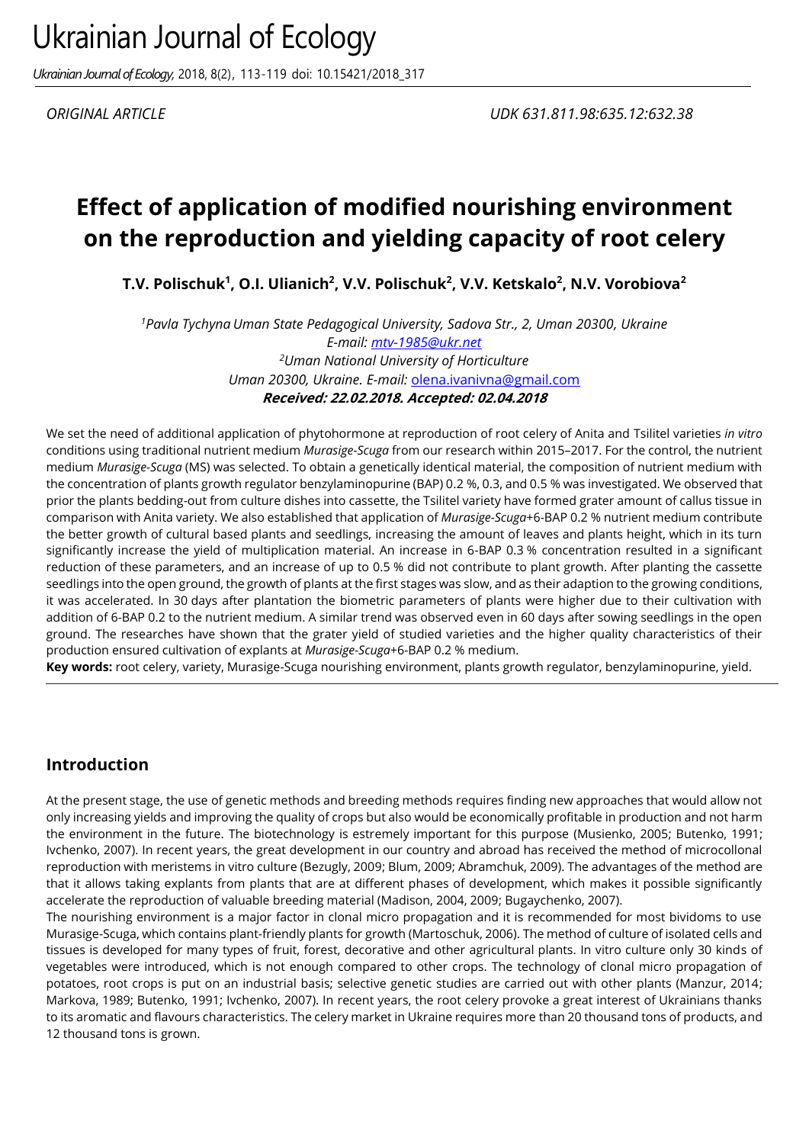*Ukrainian Journal of Ecology,* 2018, 8(2), 113-119 doi: 10.15421/2018\_317

# **Effect of application of modified nourishing environment on the reproduction and yielding capacity of root celery**

**T.V. Polischuk<sup>1</sup> , O.I. Ulianich<sup>2</sup> , V.V. Polischuk<sup>2</sup> , V.V. Ketskalo<sup>2</sup> , N.V. Vorobiova<sup>2</sup>**

*<sup>1</sup>Pavla Tychyna Uman State Pedagogical University, Sadova Str., 2, Uman 20300, Ukraine E-mail: [mtv-1985@ukr.net](mailto:mtv-1985@ukr.net1) <sup>2</sup>Uman National University of Horticulture Uman 20300, Ukraine. E-mail:* [olena.ivanivna@gmail.com](mailto:olena.ivanivna@gmail.com) **Received: 22.02.2018. Accepted: 02.04.2018**

We set the need of additional application of phytohormone at reproduction of root celery of Anita and Tsilitel varieties *in vitro* conditions using traditional nutrient medium *Murasige-Scuga* from our research within 2015–2017. For the control, the nutrient medium *Murasige-Scuga* (MS) was selected. To obtain a genetically identical material, the composition of nutrient medium with the concentration of plants growth regulator benzylaminopurine (BAP) 0.2 %, 0.3, and 0.5 % was investigated. We observed that prior the plants bedding-out from culture dishes into cassette, the Tsilitel variety have formed grater amount of callus tissue in comparison with Anita variety. We also established that application of *Murasige-Scuga*+6-BAP 0.2 % nutrient medium contribute the better growth of cultural based plants and seedlings, increasing the amount of leaves and plants height, which in its turn significantly increase the yield of multiplication material. An increase in 6-BAP 0.3 % concentration resulted in a significant reduction of these parameters, and an increase of up to 0.5 % did not contribute to plant growth. After planting the cassette seedlings into the open ground, the growth of plants at the first stages was slow, and as their adaption to the growing conditions, it was accelerated. In 30 days after plantation the biometric parameters of plants were higher due to their cultivation with addition of 6-BAP 0.2 to the nutrient medium. A similar trend was observed even in 60 days after sowing seedlings in the open ground. The researches have shown that the grater yield of studied varieties and the higher quality characteristics of their production ensured cultivation of explants at *Murasige-Scuga*+6-BAP 0.2 % medium.

**Key words:** root celery, variety, Murasige-Scuga nourishing environment, plants growth regulator, benzylaminopurine, yield.

### **Introduction**

At the present stage, the use of genetic methods and breeding methods requires finding new approaches that would allow not only increasing yields and improving the quality of crops but also would be economically profitable in production and not harm the environment in the future. The biotechnology is estremely important for this purpose (Musienko, 2005; Butenko, 1991; Ivchenko, 2007). In recent years, the great development in our country and abroad has received the method of microcollonal reproduction with meristems in vitro culture (Bezugly, 2009; Blum, 2009; Abramchuk, 2009). The advantages of the method are that it allows taking explants from plants that are at different phases of development, which makes it possible significantly accelerate the reproduction of valuable breeding material (Madison, 2004, 2009; Bugaychenko, 2007).

The nourishing environment is a major factor in clonal micro propagation and it is recommended for most bividoms to use Murasige-Scuga, which contains plant-friendly plants for growth (Martoschuk, 2006). The method of culture of isolated cells and tissues is developed for many types of fruit, forest, decorative and other agricultural plants. In vitro culture only 30 kinds of vegetables were introduced, which is not enough compared to other crops. The technology of clonal micro propagation of potatoes, root crops is put on an industrial basis; selective genetic studies are carried out with other plants (Manzur, 2014; Markova, 1989; Butenko, 1991; Ivchenko, 2007). In recent years, the root celery provoke a great interest of Ukrainians thanks to its aromatic and flavours characteristics. The celery market in Ukraine requires more than 20 thousand tons of products, and 12 thousand tons is grown.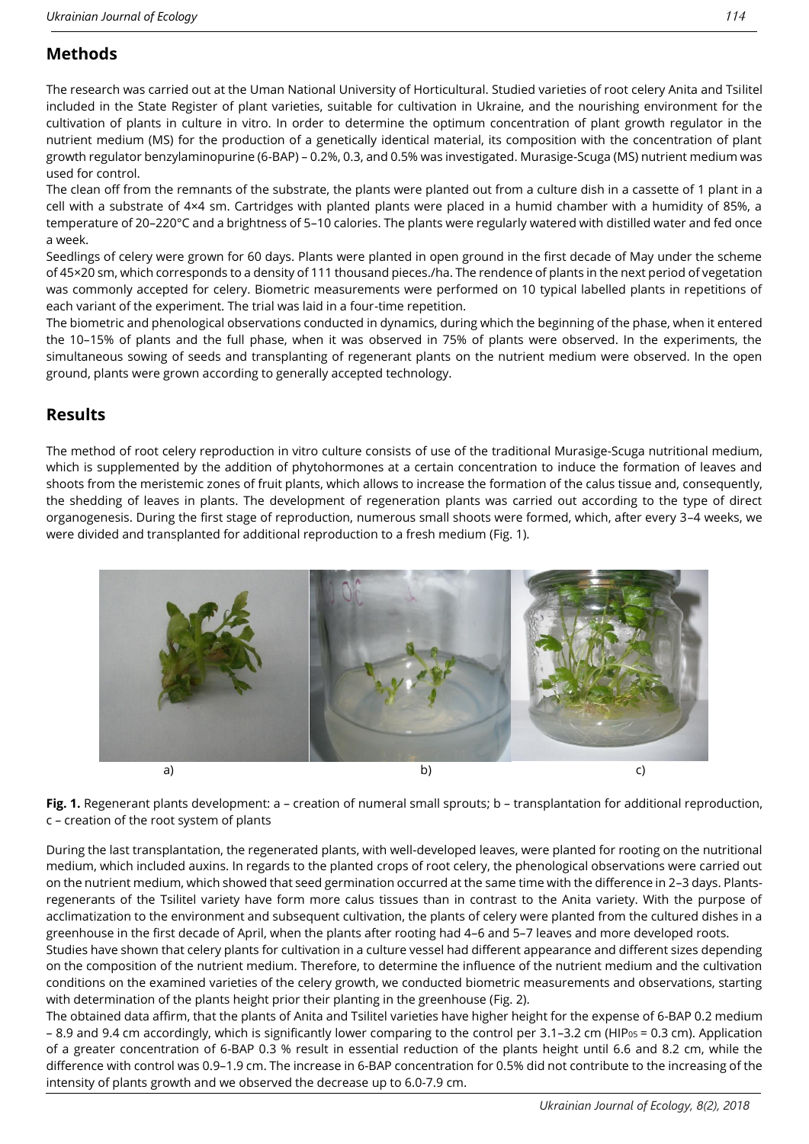# **Methods**

The research was carried out at the Uman National University of Horticultural. Studied varieties of root celery Anita and Tsilitel included in the State Register of plant varieties, suitable for cultivation in Ukraine, and the nourishing environment for the cultivation of plants in culture in vitro. In order to determine the optimum concentration of plant growth regulator in the nutrient medium (MS) for the production of a genetically identical material, its composition with the concentration of plant growth regulator benzylaminopurine (6-BAP) – 0.2%, 0.3, and 0.5% was investigated. Murasige-Scuga (MS) nutrient medium was used for control.

The clean off from the remnants of the substrate, the plants were planted out from a culture dish in a cassette of 1 plant in a cell with a substrate of 4×4 sm. Cartridges with planted plants were placed in a humid chamber with a humidity of 85%, a temperature of 20–220°C and a brightness of 5–10 calories. The plants were regularly watered with distilled water and fed once a week.

Seedlings of celery were grown for 60 days. Plants were planted in open ground in the first decade of May under the scheme of 45×20 sm, which corresponds to a density of 111 thousand pieces./ha. The rendence of plants in the next period of vegetation was commonly accepted for celery. Biometric measurements were performed on 10 typical labelled plants in repetitions of each variant of the experiment. The trial was laid in a four-time repetition.

The biometric and phenological observations conducted in dynamics, during which the beginning of the phase, when it entered the 10–15% of plants and the full phase, when it was observed in 75% of plants were observed. In the experiments, the simultaneous sowing of seeds and transplanting of regenerant plants on the nutrient medium were observed. In the open ground, plants were grown according to generally accepted technology.

### **Results**

The method of root celery reproduction in vitro culture consists of use of the traditional Murasige-Scuga nutritional medium, which is supplemented by the addition of phytohormones at a certain concentration to induce the formation of leaves and shoots from the meristemic zones of fruit plants, which allows to increase the formation of the calus tissue and, consequently, the shedding of leaves in plants. The development of regeneration plants was carried out according to the type of direct organogenesis. During the first stage of reproduction, numerous small shoots were formed, which, after every 3–4 weeks, we were divided and transplanted for additional reproduction to a fresh medium (Fig. 1).



**Fig. 1.** Regenerant plants development: а – creation of numeral small sprouts; b – transplantation for additional reproduction, c – creation of the root system of plants

During the last transplantation, the regenerated plants, with well-developed leaves, were planted for rooting on the nutritional medium, which included auxins. In regards to the planted crops of root celery, the phenological observations were carried out on the nutrient medium, which showed that seed germination occurred at the same time with the difference in 2–3 days. Plantsregenerants of the Tsilitel variety have form more calus tissues than in contrast to the Anita variety. With the purpose of acclimatization to the environment and subsequent cultivation, the plants of celery were planted from the cultured dishes in a greenhouse in the first decade of April, when the plants after rooting had 4–6 and 5–7 leaves and more developed roots.

Studies have shown that celery plants for cultivation in a culture vessel had different appearance and different sizes depending on the composition of the nutrient medium. Therefore, to determine the influence of the nutrient medium and the cultivation conditions on the examined varieties of the celery growth, we conducted biometric measurements and observations, starting with determination of the plants height prior their planting in the greenhouse (Fig. 2).

The obtained data affirm, that the plants of Anita and Tsilitel varieties have higher height for the expense of 6-BAP 0.2 medium – 8.9 and 9.4 cm accordingly, which is significantly lower comparing to the control per 3.1–3.2 cm (HIP<sub>05</sub> = 0.3 cm). Application of a greater concentration of 6-BAP 0.3 % result in essential reduction of the plants height until 6.6 and 8.2 cm, while the difference with control was 0.9–1.9 cm. The increase in 6-BAP concentration for 0.5% did not contribute to the increasing of the intensity of plants growth and we observed the decrease up to 6.0-7.9 cm.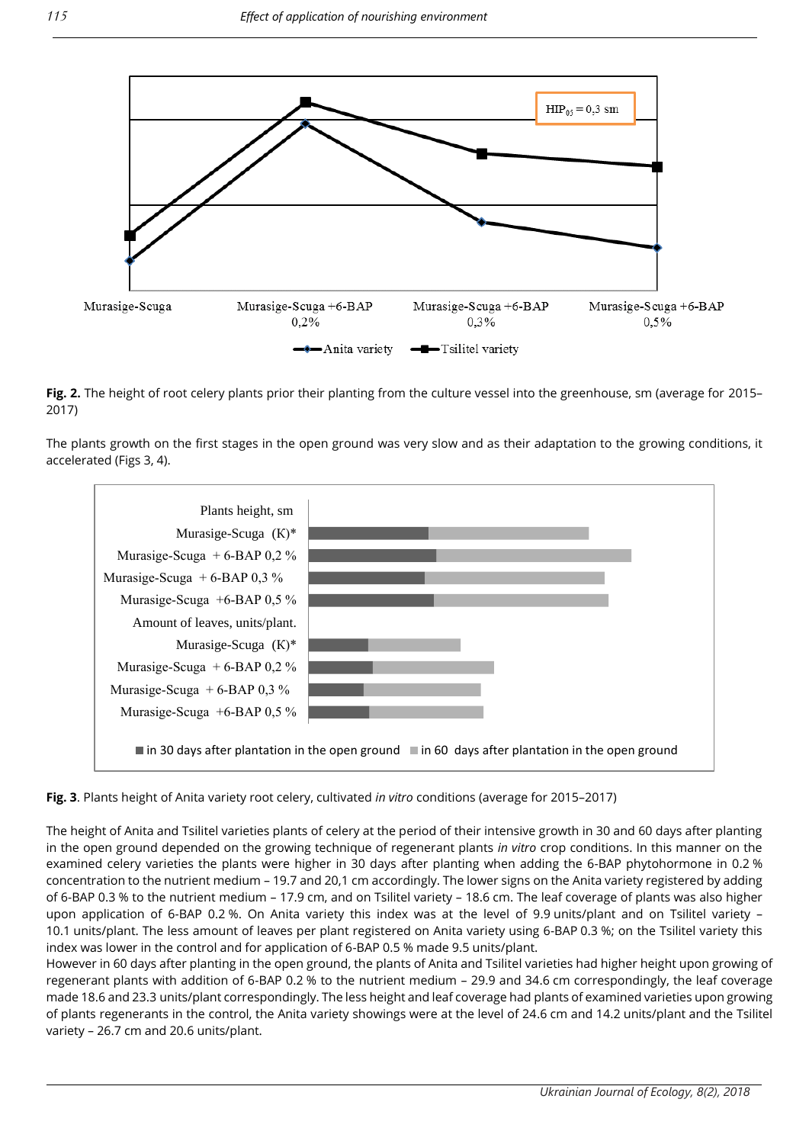

**Fig. 2.** The height of root celery plants prior their planting from the culture vessel into the greenhouse, sm (average for 2015– 2017)

The plants growth on the first stages in the open ground was very slow and as their adaptation to the growing conditions, it accelerated (Figs 3, 4).



**Fig. 3**. Plants height of Anita variety root celery, cultivated *in vitro* conditions (average for 2015–2017)

The height of Anita and Tsilitel varieties plants of celery at the period of their intensive growth in 30 and 60 days after planting in the open ground depended on the growing technique of regenerant plants *in vitro* crop conditions. In this manner on the examined celery varieties the plants were higher in 30 days after planting when adding the 6-BAP phytohormone in 0.2 % concentration to the nutrient medium – 19.7 and 20,1 cm accordingly. The lower signs on the Anita variety registered by adding of 6-BAP 0.3 % to the nutrient medium – 17.9 cm, and on Tsilitel variety – 18.6 cm. The leaf coverage of plants was also higher upon application of 6-BAP 0.2 %. On Anita variety this index was at the level of 9.9 units/plant and on Tsilitel variety – 10.1 units/plant. The less amount of leaves per plant registered on Anita variety using 6-BAP 0.3 %; on the Tsilitel variety this index was lower in the control and for application of 6-BAP 0.5 % made 9.5 units/plant.

However in 60 days after planting in the open ground, the plants of Anita and Tsilitel varieties had higher height upon growing of regenerant plants with addition of 6-BAP 0.2 % to the nutrient medium – 29.9 and 34.6 cm correspondingly, the leaf coverage made 18.6 and 23.3 units/plant correspondingly. The less height and leaf coverage had plants of examined varieties upon growing of plants regenerants in the control, the Anita variety showings were at the level of 24.6 cm and 14.2 units/plant and the Tsilitel variety – 26.7 cm and 20.6 units/plant.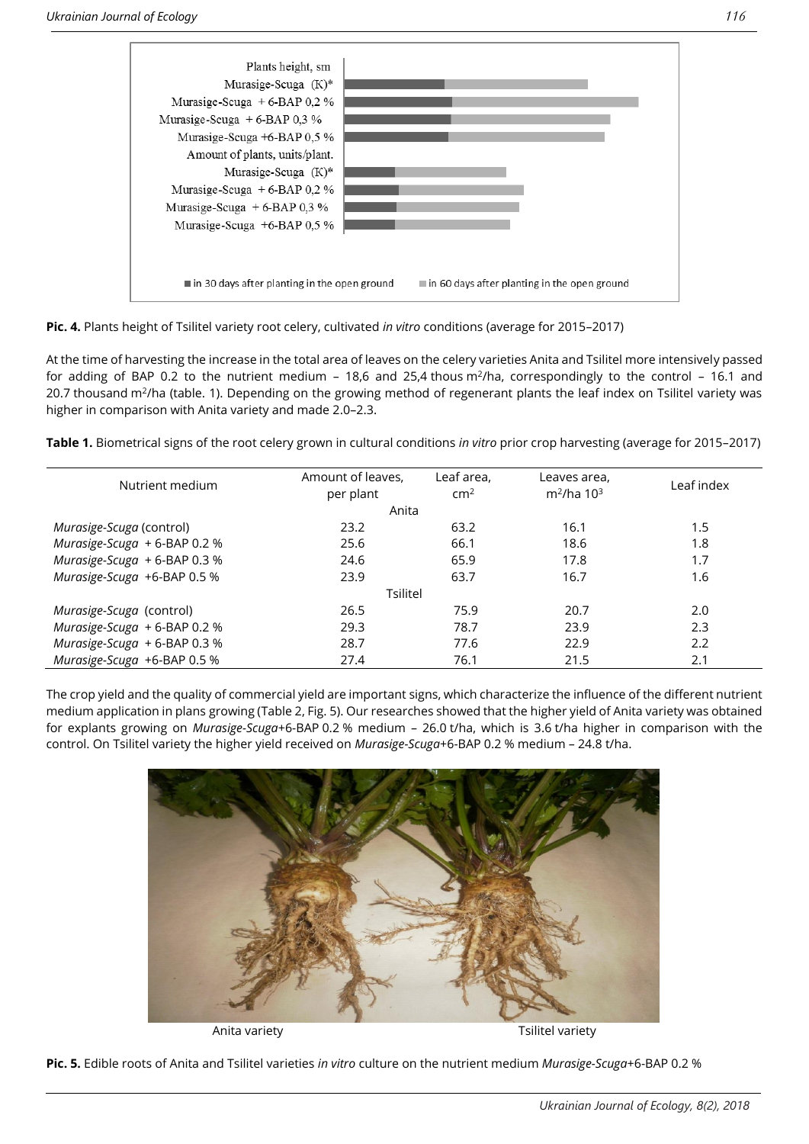

**Pic. 4.** Plants height of Tsilitel variety root celery, cultivated *in vitro* conditions (average for 2015–2017)

At the time of harvesting the increase in the total area of leaves on the celery varieties Anita and Tsilitel more intensively passed for adding of BAP 0.2 to the nutrient medium – 18,6 and 25,4 thous  $m^2/h$ a, correspondingly to the control – 16.1 and 20.7 thousand m<sup>2</sup>/ha (table. 1). Depending on the growing method of regenerant plants the leaf index on Tsilitel variety was higher in comparison with Anita variety and made 2.0–2.3.

**Table 1.** Biometrical signs of the root celery grown in cultural conditions *in vitro* prior crop harvesting (average for 2015–2017)

| Nutrient medium              | Amount of leaves,<br>per plant | Leaf area,<br>cm <sup>2</sup> | Leaves area,<br>$m^2/ha$ 10 <sup>3</sup> | Leaf index |  |  |  |  |
|------------------------------|--------------------------------|-------------------------------|------------------------------------------|------------|--|--|--|--|
| Anita                        |                                |                               |                                          |            |  |  |  |  |
| Murasige-Scuga (control)     | 23.2                           | 63.2                          | 16.1                                     | 1.5        |  |  |  |  |
| Murasige-Scuga + 6-BAP 0.2 % | 25.6                           | 66.1                          | 18.6                                     | 1.8        |  |  |  |  |
| Murasige-Scuga + 6-BAP 0.3 % | 24.6                           | 65.9                          | 17.8                                     | 1.7        |  |  |  |  |
| Murasige-Scuga +6-BAP 0.5 %  | 23.9                           | 63.7                          | 16.7                                     | 1.6        |  |  |  |  |
| Tsilitel                     |                                |                               |                                          |            |  |  |  |  |
| Murasige-Scuga (control)     | 26.5                           | 75.9                          | 20.7                                     | 2.0        |  |  |  |  |
| Murasige-Scuga + 6-BAP 0.2 % | 29.3                           | 78.7                          | 23.9                                     | 2.3        |  |  |  |  |
| Murasige-Scuga + 6-BAP 0.3 % | 28.7                           | 77.6                          | 22.9                                     | 2.2        |  |  |  |  |
| Murasige-Scuga +6-BAP 0.5 %  | 27.4                           | 76.1                          | 21.5                                     | 2.1        |  |  |  |  |

The crop yield and the quality of commercial yield are important signs, which characterize the influence of the different nutrient medium application in plans growing (Table 2, Fig. 5). Our researches showed that the higher yield of Anita variety was obtained for explants growing on *Murasige-Scuga*+6-BAP 0.2 % medium – 26.0 t/ha, which is 3.6 t/ha higher in comparison with the control. On Tsilitel variety the higher yield received on *Murasige-Scuga*+6-BAP 0.2 % medium – 24.8 t/ha.



Anita variety **Anita variety Tsilitel variety** 

**Pic. 5.** Edible roots of Anita and Tsilitel varieties *in vitro* culture on the nutrient medium *Murasige-Scuga*+6-BAP 0.2 %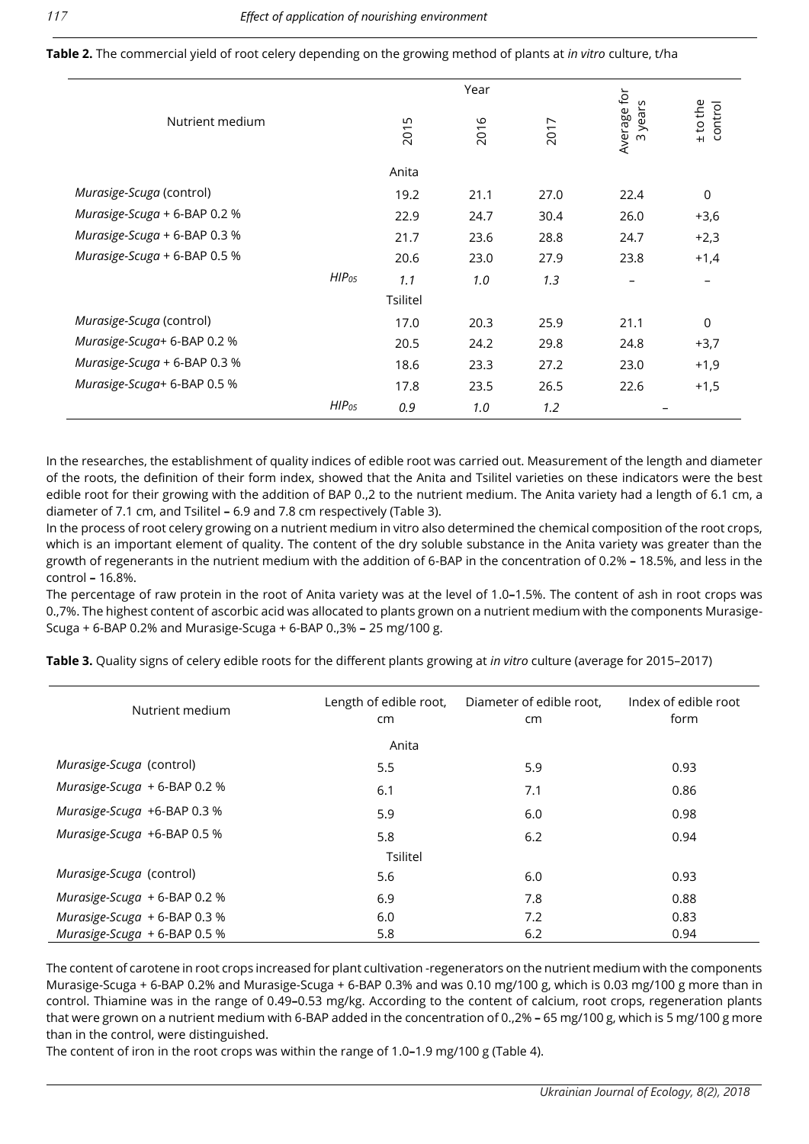|                              |                   |          | Year |      |                                  |                       |
|------------------------------|-------------------|----------|------|------|----------------------------------|-----------------------|
| Nutrient medium              |                   | 2015     | 2016 | 2017 | Average for<br>years<br>$\infty$ | $±$ to the<br>control |
|                              |                   | Anita    |      |      |                                  |                       |
| Murasige-Scuga (control)     |                   | 19.2     | 21.1 | 27.0 | 22.4                             | $\mathbf 0$           |
| Murasige-Scuga + 6-BAP 0.2 % |                   | 22.9     | 24.7 | 30.4 | 26.0                             | $+3,6$                |
| Murasige-Scuga + 6-BAP 0.3 % |                   | 21.7     | 23.6 | 28.8 | 24.7                             | $+2,3$                |
| Murasige-Scuga + 6-BAP 0.5 % |                   | 20.6     | 23.0 | 27.9 | 23.8                             | $+1,4$                |
|                              | HIP <sub>05</sub> | 1.1      | 1.0  | 1.3  |                                  |                       |
|                              |                   | Tsilitel |      |      |                                  |                       |
| Murasige-Scuga (control)     |                   | 17.0     | 20.3 | 25.9 | 21.1                             | $\mathbf 0$           |
| Murasige-Scuga+ 6-BAP 0.2 %  |                   | 20.5     | 24.2 | 29.8 | 24.8                             | $+3,7$                |
| Murasige-Scuga + 6-BAP 0.3 % |                   | 18.6     | 23.3 | 27.2 | 23.0                             | $+1,9$                |
| Murasige-Scuga+ 6-BAP 0.5 %  |                   | 17.8     | 23.5 | 26.5 | 22.6                             | $+1,5$                |
|                              | HIP <sub>05</sub> | 0.9      | 1.0  | 1.2  |                                  |                       |

**Table 2.** The commercial yield of root celery depending on the growing method of plants at *in vitro* culture, t/ha

In the researches, the establishment of quality indices of edible root was carried out. Measurement of the length and diameter of the roots, the definition of their form index, showed that the Anita and Tsilitel varieties on these indicators were the best edible root for their growing with the addition of BAP 0.,2 to the nutrient medium. The Anita variety had a length of 6.1 cm, a diameter of 7.1 cm, and Tsilitel **–** 6.9 and 7.8 cm respectively (Table 3).

In the process of root celery growing on a nutrient medium in vitro also determined the chemical composition of the root crops, which is an important element of quality. The content of the dry soluble substance in the Anita variety was greater than the growth of regenerants in the nutrient medium with the addition of 6-BAP in the concentration of 0.2% **–** 18.5%, and less in the control **–** 16.8%.

The percentage of raw protein in the root of Anita variety was at the level of 1.0**–**1.5%. The content of ash in root crops was 0.,7%. The highest content of ascorbic acid was allocated to plants grown on a nutrient medium with the components Murasige-Scuga + 6-BAP 0.2% and Murasige-Scuga + 6-BAP 0.,3% **–** 25 mg/100 g.

**Table 3.** Quality signs of celery edible roots for the different plants growing at *in vitro* culture (average for 2015–2017)

| Nutrient medium                | Length of edible root,<br>cm <sub>2</sub> | Diameter of edible root,<br>cm | Index of edible root<br>form |  |  |  |  |  |  |
|--------------------------------|-------------------------------------------|--------------------------------|------------------------------|--|--|--|--|--|--|
| Anita                          |                                           |                                |                              |  |  |  |  |  |  |
| Murasige-Scuga (control)       | 5.5                                       | 5.9                            | 0.93                         |  |  |  |  |  |  |
| Murasige-Scuga $+6$ -BAP 0.2 % | 6.1                                       | 7.1                            | 0.86                         |  |  |  |  |  |  |
| Murasige-Scuga +6-BAP 0.3 %    | 5.9                                       | 6.0                            | 0.98                         |  |  |  |  |  |  |
| Murasige-Scuga +6-BAP 0.5 %    | 5.8                                       | 6.2                            | 0.94                         |  |  |  |  |  |  |
| Tsilitel                       |                                           |                                |                              |  |  |  |  |  |  |
| Murasige-Scuga (control)       | 5.6                                       | 6.0                            | 0.93                         |  |  |  |  |  |  |
| Murasige-Scuga + 6-BAP 0.2 %   | 6.9                                       | 7.8                            | 0.88                         |  |  |  |  |  |  |
| Murasige-Scuga + 6-BAP 0.3 %   | 6.0                                       | 7.2                            | 0.83                         |  |  |  |  |  |  |
| Murasige-Scuga + 6-BAP 0.5 %   | 5.8                                       | 6.2                            | 0.94                         |  |  |  |  |  |  |

The content of carotene in root crops increased for plant cultivation -regenerators on the nutrient medium with the components Murasige-Scuga + 6-BAP 0.2% and Murasige-Scuga + 6-BAP 0.3% and was 0.10 mg/100 g, which is 0.03 mg/100 g more than in control. Thiamine was in the range of 0.49**–**0.53 mg/kg. According to the content of calcium, root crops, regeneration plants that were grown on a nutrient medium with 6-BAP added in the concentration of 0.,2% **–** 65 mg/100 g, which is 5 mg/100 g more than in the control, were distinguished.

The content of iron in the root crops was within the range of 1.0**–**1.9 mg/100 g (Table 4).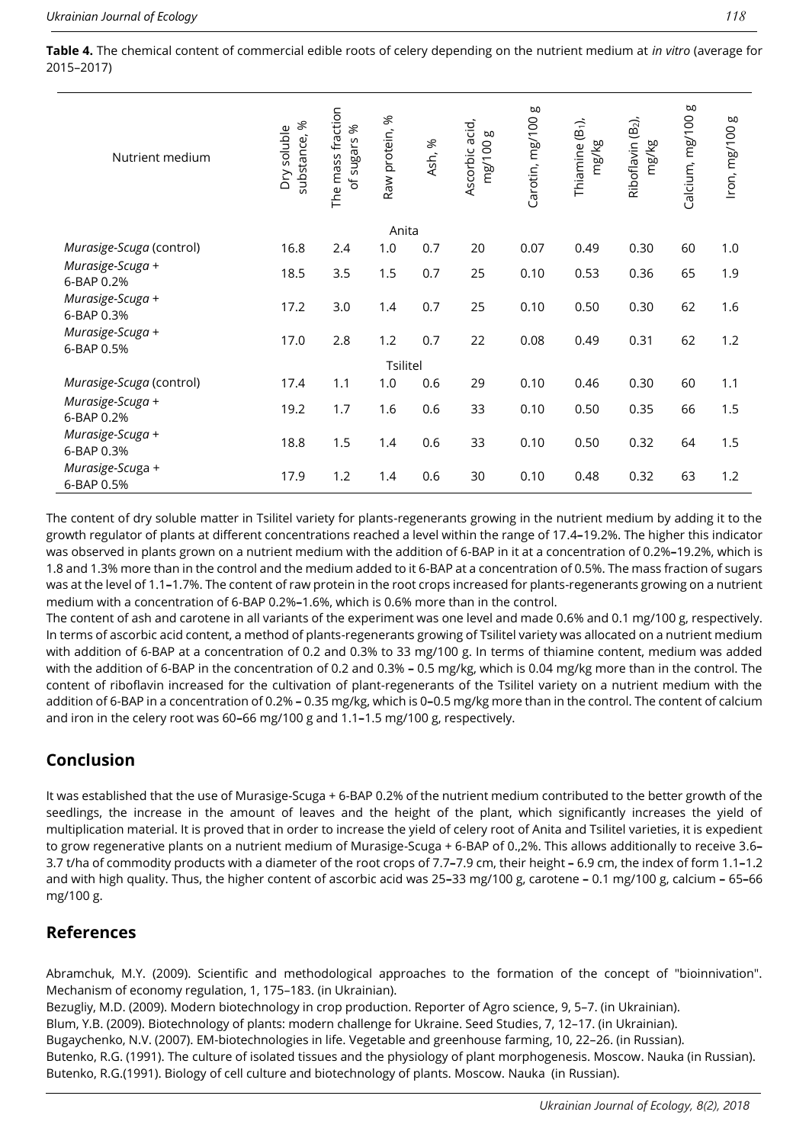**Table 4.** The chemical content of commercial edible roots of celery depending on the nutrient medium at *in vitro* (average for 2015–2017)

| Nutrient medium                | $\aleph$<br>Dry soluble<br>substance, | The mass fraction<br>of sugars % | Raw protein, % | Ash, % | Ascorbic acid,<br>5<br>mg/100 | g<br>Carotin, mg/100 | Thiamine (B <sub>1</sub> ),<br>mg/kg | Riboflavin (B <sub>2</sub> ),<br>mg/kg | 5<br>Calcium, mg/100 | g<br>Iron, mg/100 |
|--------------------------------|---------------------------------------|----------------------------------|----------------|--------|-------------------------------|----------------------|--------------------------------------|----------------------------------------|----------------------|-------------------|
|                                |                                       |                                  | Anita          |        |                               |                      |                                      |                                        |                      |                   |
| Murasige-Scuga (control)       | 16.8                                  | 2.4                              | 1.0            | 0.7    | 20                            | 0.07                 | 0.49                                 | 0.30                                   | 60                   | 1.0               |
| Murasige-Scuga +<br>6-BAP 0.2% | 18.5                                  | 3.5                              | 1.5            | 0.7    | 25                            | 0.10                 | 0.53                                 | 0.36                                   | 65                   | 1.9               |
| Murasige-Scuga +<br>6-BAP 0.3% | 17.2                                  | 3.0                              | 1.4            | 0.7    | 25                            | 0.10                 | 0.50                                 | 0.30                                   | 62                   | 1.6               |
| Murasige-Scuga +<br>6-BAP 0.5% | 17.0                                  | 2.8                              | 1.2            | 0.7    | 22                            | 0.08                 | 0.49                                 | 0.31                                   | 62                   | 1.2               |
| Tsilitel                       |                                       |                                  |                |        |                               |                      |                                      |                                        |                      |                   |
| Murasige-Scuga (control)       | 17.4                                  | 1.1                              | 1.0            | 0.6    | 29                            | 0.10                 | 0.46                                 | 0.30                                   | 60                   | 1.1               |
| Murasige-Scuga +<br>6-BAP 0.2% | 19.2                                  | 1.7                              | 1.6            | 0.6    | 33                            | 0.10                 | 0.50                                 | 0.35                                   | 66                   | 1.5               |
| Murasige-Scuga +<br>6-BAP 0.3% | 18.8                                  | 1.5                              | 1.4            | 0.6    | 33                            | 0.10                 | 0.50                                 | 0.32                                   | 64                   | 1.5               |
| Murasige-Scuga +<br>6-BAP 0.5% | 17.9                                  | 1.2                              | 1.4            | 0.6    | 30                            | 0.10                 | 0.48                                 | 0.32                                   | 63                   | 1.2               |

The content of dry soluble matter in Tsilitel variety for plants-regenerants growing in the nutrient medium by adding it to the growth regulator of plants at different concentrations reached a level within the range of 17.4**–**19.2%. The higher this indicator was observed in plants grown on a nutrient medium with the addition of 6-BAP in it at a concentration of 0.2%**–**19.2%, which is 1.8 and 1.3% more than in the control and the medium added to it 6-BAP at a concentration of 0.5%. The mass fraction of sugars was at the level of 1.1**–**1.7%. The content of raw protein in the root crops increased for plants-regenerants growing on a nutrient medium with a concentration of 6-BAP 0.2%**–**1.6%, which is 0.6% more than in the control.

The content of ash and carotene in all variants of the experiment was one level and made 0.6% and 0.1 mg/100 g, respectively. In terms of ascorbic acid content, a method of plants-regenerants growing of Tsilitel variety was allocated on a nutrient medium with addition of 6-BAP at a concentration of 0.2 and 0.3% to 33 mg/100 g. In terms of thiamine content, medium was added with the addition of 6-BAP in the concentration of 0.2 and 0.3% **–** 0.5 mg/kg, which is 0.04 mg/kg more than in the control. The content of riboflavin increased for the cultivation of plant-regenerants of the Tsilitel variety on a nutrient medium with the addition of 6-BAP in a concentration of 0.2% **–** 0.35 mg/kg, which is 0**–**0.5 mg/kg more than in the control. The content of calcium and iron in the celery root was 60**–**66 mg/100 g and 1.1**–**1.5 mg/100 g, respectively.

# **Conclusion**

It was established that the use of Murasige-Scuga + 6-BAP 0.2% of the nutrient medium contributed to the better growth of the seedlings, the increase in the amount of leaves and the height of the plant, which significantly increases the yield of multiplication material. It is proved that in order to increase the yield of celery root of Anita and Tsilitel varieties, it is expedient to grow regenerative plants on a nutrient medium of Murasige-Scuga + 6-BAP of 0.,2%. This allows additionally to receive 3.6**–** 3.7 t/ha of commodity products with a diameter of the root crops of 7.7**–**7.9 cm, their height **–** 6.9 cm, the index of form 1.1**–**1.2 and with high quality. Thus, the higher content of ascorbic acid was 25**–**33 mg/100 g, carotene **–** 0.1 mg/100 g, calcium **–** 65**–**66 mg/100 g.

# **References**

Abramchuk, M.Y. (2009). Scientific and methodological approaches to the formation of the concept of "bioinnivation". Mechanism of economy regulation, 1, 175–183. (in Ukrainian).

Bezugliy, M.D. (2009). Modern biotechnology in crop production. Reporter of Agro science, 9, 5–7. (in Ukrainian).

Blum, Y.B. (2009). Biotechnology of plants: modern challenge for Ukraine. Seed Studies, 7, 12–17. (in Ukrainian).

Bugaychenko, N.V. (2007). EМ-biotechnologies in life. Vegetable and greenhouse farming, 10, 22–26. (in Russian).

Butenko, R.G. (1991). The culture of isolated tissues and the physiology of plant morphogenesis. Moscow. Nauka (in Russian). Butenko, R.G.(1991). Biology of cell culture and biotechnology of plants. Moscow. Nauka (in Russian).